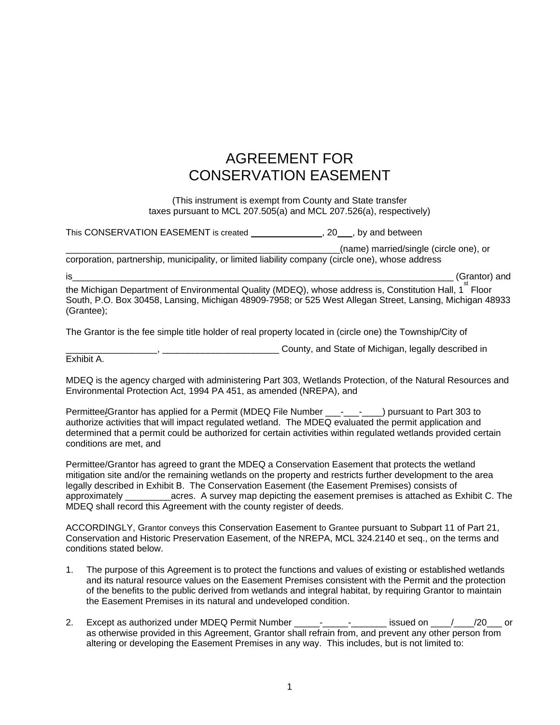## AGREEMENT FOR CONSERVATION EASEMENT

(This instrument is exempt from County and State transfer taxes pursuant to MCL 207.505(a) and MCL 207.526(a), respectively)

This CONSERVATION EASEMENT is created  $\sim$ , 20, by and between

\_\_\_\_\_\_\_\_\_\_\_\_\_\_\_\_\_\_\_\_\_\_\_\_\_\_\_\_\_\_\_\_\_\_\_\_\_\_\_\_\_\_\_\_\_\_\_\_\_\_\_\_\_\_(name) married/single (circle one), or

corporation, partnership, municipality, or limited liability company (circle one), whose address

is\_\_\_\_\_\_\_\_\_\_\_\_\_\_\_\_\_\_\_\_\_\_\_\_\_\_\_\_\_\_\_\_\_\_\_\_\_\_\_\_\_\_\_\_\_\_\_\_\_\_\_\_\_\_\_\_\_\_\_\_\_\_\_\_\_\_\_\_\_\_\_\_\_\_\_ (Grantor) and

the Michigan Department of Environmental Quality (MDEQ), whose address is, Constitution Hall, 1<sup>st</sup> Floor South, P.O. Box 30458, Lansing, Michigan 48909-7958; or 525 West Allegan Street, Lansing, Michigan 48933 (Grantee);

The Grantor is the fee simple title holder of real property located in (circle one) the Township/City of

Exhibit A.

MDEQ is the agency charged with administering Part 303, Wetlands Protection, of the Natural Resources and Environmental Protection Act, 1994 PA 451, as amended (NREPA), and

\_\_\_\_\_\_\_\_\_\_\_\_\_\_\_\_\_\_, \_\_\_\_\_\_\_\_\_\_\_\_\_\_\_\_\_\_\_\_\_\_\_ County, and State of Michigan, legally described in

Permittee/Grantor has applied for a Permit (MDEQ File Number \_\_\_- \_\_\_\_\_\_\_) pursuant to Part 303 to authorize activities that will impact regulated wetland. The MDEQ evaluated the permit application and determined that a permit could be authorized for certain activities within regulated wetlands provided certain conditions are met, and

Permittee/Grantor has agreed to grant the MDEQ a Conservation Easement that protects the wetland mitigation site and/or the remaining wetlands on the property and restricts further development to the area legally described in Exhibit B. The Conservation Easement (the Easement Premises) consists of approximately eacres. A survey map depicting the easement premises is attached as Exhibit C. The MDEQ shall record this Agreement with the county register of deeds.

ACCORDINGLY, Grantor conveys this Conservation Easement to Grantee pursuant to Subpart 11 of Part 21, Conservation and Historic Preservation Easement, of the NREPA, MCL 324.2140 et seq., on the terms and conditions stated below.

- 1. The purpose of this Agreement is to protect the functions and values of existing or established wetlands and its natural resource values on the Easement Premises consistent with the Permit and the protection of the benefits to the public derived from wetlands and integral habitat, by requiring Grantor to maintain the Easement Premises in its natural and undeveloped condition.
- 2. Except as authorized under MDEQ Permit Number \_\_\_\_\_\_-\_\_\_\_\_\_\_\_\_\_\_\_\_\_ issued on \_\_\_\_/\_\_\_\_/20\_\_\_ or as otherwise provided in this Agreement, Grantor shall refrain from, and prevent any other person from altering or developing the Easement Premises in any way. This includes, but is not limited to: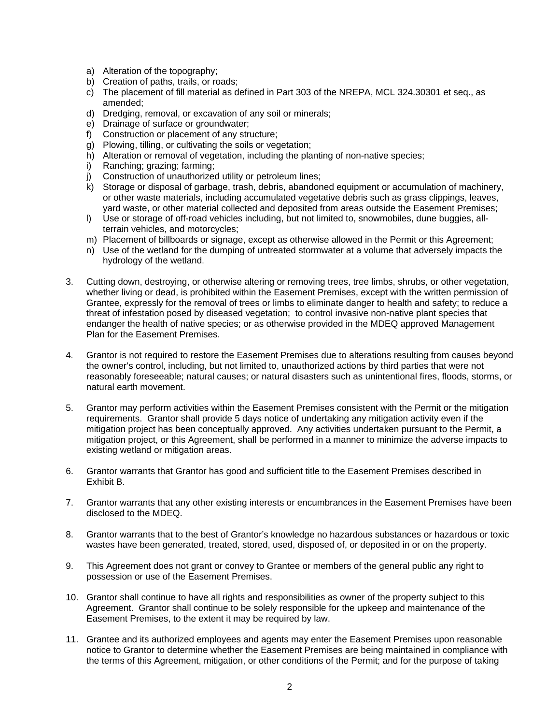- a) Alteration of the topography;
- b) Creation of paths, trails, or roads;
- c) The placement of fill material as defined in Part 303 of the NREPA, MCL 324.30301 et seq., as amended;
- d) Dredging, removal, or excavation of any soil or minerals;
- e) Drainage of surface or groundwater;
- f) Construction or placement of any structure;
- g) Plowing, tilling, or cultivating the soils or vegetation;
- h) Alteration or removal of vegetation, including the planting of non-native species;
- i) Ranching; grazing; farming;
- j) Construction of unauthorized utility or petroleum lines;
- k) Storage or disposal of garbage, trash, debris, abandoned equipment or accumulation of machinery, or other waste materials, including accumulated vegetative debris such as grass clippings, leaves, yard waste, or other material collected and deposited from areas outside the Easement Premises;
- l) Use or storage of off-road vehicles including, but not limited to, snowmobiles, dune buggies, allterrain vehicles, and motorcycles;
- m) Placement of billboards or signage, except as otherwise allowed in the Permit or this Agreement;
- n) Use of the wetland for the dumping of untreated stormwater at a volume that adversely impacts the hydrology of the wetland.
- 3. Cutting down, destroying, or otherwise altering or removing trees, tree limbs, shrubs, or other vegetation, whether living or dead, is prohibited within the Easement Premises, except with the written permission of Grantee, expressly for the removal of trees or limbs to eliminate danger to health and safety; to reduce a threat of infestation posed by diseased vegetation; to control invasive non-native plant species that endanger the health of native species; or as otherwise provided in the MDEQ approved Management Plan for the Easement Premises.
- 4. Grantor is not required to restore the Easement Premises due to alterations resulting from causes beyond the owner's control, including, but not limited to, unauthorized actions by third parties that were not reasonably foreseeable; natural causes; or natural disasters such as unintentional fires, floods, storms, or natural earth movement.
- 5. Grantor may perform activities within the Easement Premises consistent with the Permit or the mitigation requirements. Grantor shall provide 5 days notice of undertaking any mitigation activity even if the mitigation project has been conceptually approved. Any activities undertaken pursuant to the Permit, a mitigation project, or this Agreement, shall be performed in a manner to minimize the adverse impacts to , existing wetland or mitigation areas.
- 6. Grantor warrants that Grantor has good and sufficient title to the Easement Premises described in Exhibit B.
- 7. Grantor warrants that any other existing interests or encumbrances in the Easement Premises have been disclosed to the MDEQ.
- 8. Grantor warrants that to the best of Grantor's knowledge no hazardous substances or hazardous or toxic wastes have been generated, treated, stored, used, disposed of, or deposited in or on the property.
- 9. This Agreement does not grant or convey to Grantee or members of the general public any right to possession or use of the Easement Premises.
- 10. Grantor shall continue to have all rights and responsibilities as owner of the property subject to this Agreement. Grantor shall continue to be solely responsible for the upkeep and maintenance of the Easement Premises, to the extent it may be required by law.
- 11. Grantee and its authorized employees and agents may enter the Easement Premises upon reasonable notice to Grantor to determine whether the Easement Premises are being maintained in compliance with the terms of this Agreement, mitigation, or other conditions of the Permit; and for the purpose of taking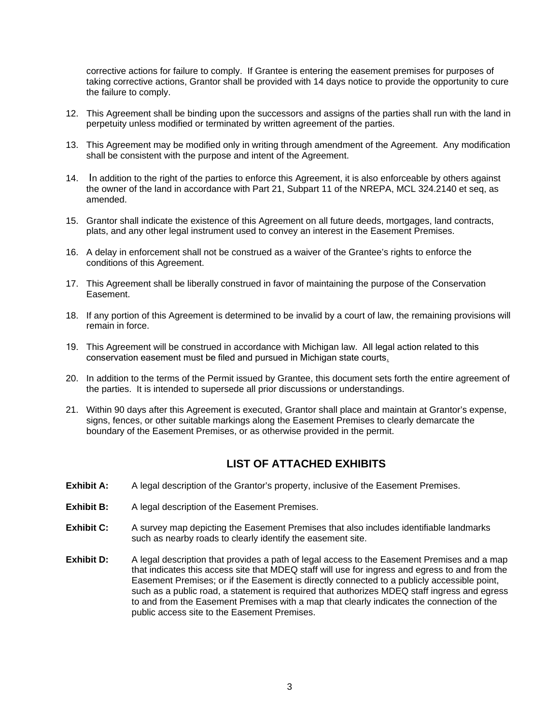corrective actions for failure to comply. If Grantee is entering the easement premises for purposes of taking corrective actions, Grantor shall be provided with 14 days notice to provide the opportunity to cure the failure to comply.

- 12. This Agreement shall be binding upon the successors and assigns of the parties shall run with the land in perpetuity unless modified or terminated by written agreement of the parties.
- 13. This Agreement may be modified only in writing through amendment of the Agreement. Any modification shall be consistent with the purpose and intent of the Agreement.
- 14. In addition to the right of the parties to enforce this Agreement, it is also enforceable by others against the owner of the land in accordance with Part 21, Subpart 11 of the NREPA, MCL 324.2140 et seq, as amended.
- 15. Grantor shall indicate the existence of this Agreement on all future deeds, mortgages, land contracts, plats, and any other legal instrument used to convey an interest in the Easement Premises.
- 16. A delay in enforcement shall not be construed as a waiver of the Grantee's rights to enforce the conditions of this Agreement.
- 17. This Agreement shall be liberally construed in favor of maintaining the purpose of the Conservation Easement.
- 18. If any portion of this Agreement is determined to be invalid by a court of law, the remaining provisions will remain in force.
- 19. This Agreement will be construed in accordance with Michigan law. All legal action related to this conservation easement must be filed and pursued in Michigan state courts.
- 20. In addition to the terms of the Permit issued by Grantee, this document sets forth the entire agreement of the parties. It is intended to supersede all prior discussions or understandings.
- 21. Within 90 days after this Agreement is executed, Grantor shall place and maintain at Grantor's expense, signs, fences, or other suitable markings along the Easement Premises to clearly demarcate the boundary of the Easement Premises, or as otherwise provided in the permit.

## **LIST OF ATTACHED EXHIBITS**

- **Exhibit A:** A legal description of the Grantor's property, inclusive of the Easement Premises.
- **Exhibit B:** A legal description of the Easement Premises.
- **Exhibit C:** A survey map depicting the Easement Premises that also includes identifiable landmarks such as nearby roads to clearly identify the easement site.
- **Exhibit D:** A legal description that provides a path of legal access to the Easement Premises and a map that indicates this access site that MDEQ staff will use for ingress and egress to and from the Easement Premises; or if the Easement is directly connected to a publicly accessible point, such as a public road, a statement is required that authorizes MDEQ staff ingress and egress to and from the Easement Premises with a map that clearly indicates the connection of the public access site to the Easement Premises.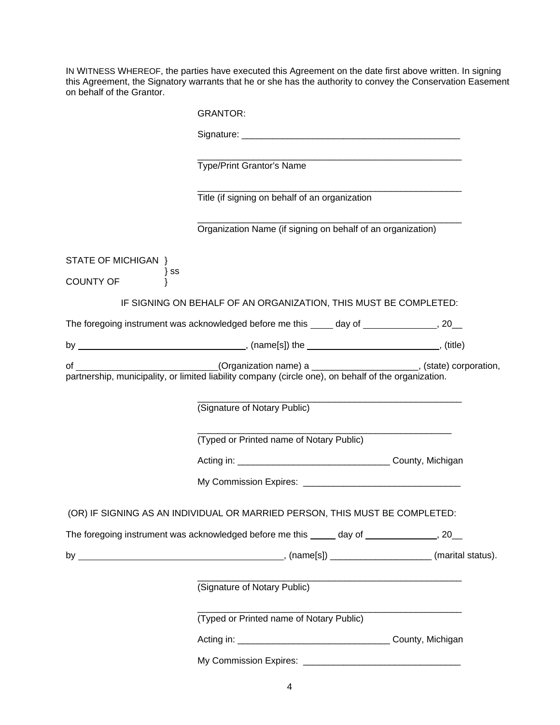IN WITNESS WHEREOF, the parties have executed this Agreement on the date first above written. In signing this Agreement, the Signatory warrants that he or she has the authority to convey the Conservation Easement on behalf of the Grantor.

|                                                    | <b>GRANTOR:</b>                                                                                                                                                                                                                |  |
|----------------------------------------------------|--------------------------------------------------------------------------------------------------------------------------------------------------------------------------------------------------------------------------------|--|
|                                                    | Signature: experience and the state of the state of the state of the state of the state of the state of the state of the state of the state of the state of the state of the state of the state of the state of the state of t |  |
|                                                    | Type/Print Grantor's Name                                                                                                                                                                                                      |  |
|                                                    | Title (if signing on behalf of an organization                                                                                                                                                                                 |  |
|                                                    | Organization Name (if signing on behalf of an organization)                                                                                                                                                                    |  |
| STATE OF MICHIGAN }<br>$\}$ SS<br><b>COUNTY OF</b> |                                                                                                                                                                                                                                |  |
|                                                    | IF SIGNING ON BEHALF OF AN ORGANIZATION, THIS MUST BE COMPLETED:                                                                                                                                                               |  |
|                                                    | The foregoing instrument was acknowledged before me this _____ day of ________________, 20__                                                                                                                                   |  |
|                                                    |                                                                                                                                                                                                                                |  |
|                                                    |                                                                                                                                                                                                                                |  |
|                                                    | (Signature of Notary Public)                                                                                                                                                                                                   |  |
|                                                    | (Typed or Printed name of Notary Public)                                                                                                                                                                                       |  |
|                                                    |                                                                                                                                                                                                                                |  |
|                                                    |                                                                                                                                                                                                                                |  |
|                                                    | (OR) IF SIGNING AS AN INDIVIDUAL OR MARRIED PERSON, THIS MUST BE COMPLETED:                                                                                                                                                    |  |
|                                                    | The foregoing instrument was acknowledged before me this _____ day of ______________, 20__                                                                                                                                     |  |
|                                                    |                                                                                                                                                                                                                                |  |
|                                                    | (Signature of Notary Public)                                                                                                                                                                                                   |  |
|                                                    | (Typed or Printed name of Notary Public)                                                                                                                                                                                       |  |
|                                                    |                                                                                                                                                                                                                                |  |
|                                                    |                                                                                                                                                                                                                                |  |